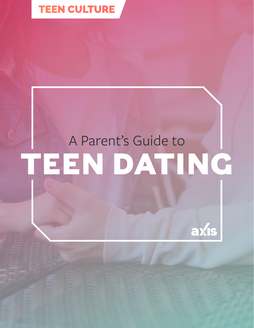

# A Parent's Guide to **TEEN DATING**

axis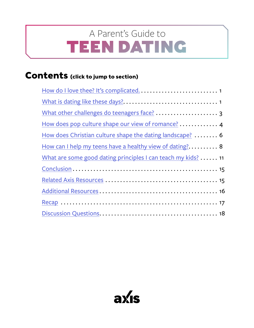## <span id="page-1-0"></span>TEEN DATING A Parent's Guide to

## **Contents (click to jump to section)**

| How does pop culture shape our view of romance?  4            |
|---------------------------------------------------------------|
| How does Christian culture shape the dating landscape?  6     |
| How can I help my teens have a healthy view of dating? 8      |
| What are some good dating principles I can teach my kids?  11 |
|                                                               |
|                                                               |
|                                                               |
|                                                               |
|                                                               |

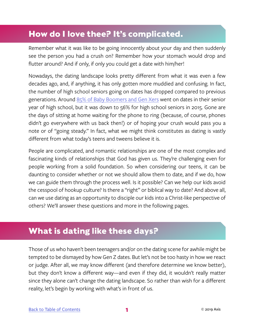## <span id="page-2-0"></span>**How do I love thee? It's complicated.**

Remember what it was like to be going innocently about your day and then suddenly see the person you had a crush on? Remember how your stomach would drop and flutter around? And if only, if only you could get a date with him/her!

Nowadays, the dating landscape looks pretty different from what it was even a few decades ago, and, if anything, it has only gotten more muddied and confusing. In fact, the number of high school seniors going on dates has dropped compared to previous generations. Around [85% of Baby Boomers and Gen Xers](https://www.theatlantic.com/magazine/archive/2017/09/has-the-smartphone-destroyed-a-generation/534198/) went on dates in their senior year of high school, but it was down to 56% for high school seniors in 2015. Gone are the days of sitting at home waiting for the phone to ring (because, of course, phones didn't go everywhere with us back then!) or of hoping your crush would pass you a note or of "going steady." In fact, what we might think constitutes as dating is vastly different from what today's teens and tweens believe it is.

People are complicated, and romantic relationships are one of the most complex and fascinating kinds of relationships that God has given us. They're challenging even for people working from a solid foundation. So when considering our teens, it can be daunting to consider whether or not we should allow them to date, and if we do, how we can guide them through the process well. Is it possible? Can we help our kids avoid the cesspool of hookup culture? Is there a "right" or biblical way to date? And above all, can we use dating as an opportunity to disciple our kids into a Christ-like perspective of others? We'll answer these questions and more in the following pages.

### **What is dating like these days?**

Those of us who haven't been teenagers and/or on the dating scene for awhile might be tempted to be dismayed by how Gen Z dates. But let's not be too hasty in how we react or judge. After all, we may know different (and therefore determine we know better), but they don't know a different way—and even if they did, it wouldn't really matter since they alone can't change the dating landscape. So rather than wish for a different reality, let's begin by working with what's in front of us.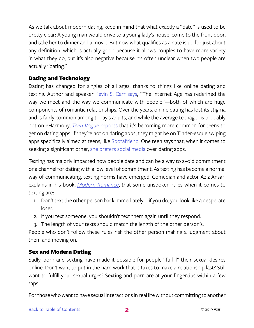As we talk about modern dating, keep in mind that what exactly a "date" is used to be pretty clear: A young man would drive to a young lady's house, come to the front door, and take her to dinner and a movie. But now what qualifies as a date is up for just about any definition, which is actually good because it allows couples to have more variety in what they do, but it's also negative because it's often unclear when two people are actually "dating."

#### Dating and Technology

Dating has changed for singles of all ages, thanks to things like online dating and texting. Author and speaker [Kevin S. Carr says,](https://www.youtube.com/watch?v=70HdOIiWfe4) "The Internet Age has redefined the way we meet and the way we communicate with people"—both of which are huge components of romantic relationships. Over the years, online dating has lost its stigma and is fairly common among today's adults, and while the average teenager is probably not on eHarmony, *[Teen Vogue](https://www.teenvogue.com/story/tinder-unsafe-for-teens)* reports that it's becoming more common for teens to get on dating apps. If they're not on dating apps, they might be on Tinder-esque swiping apps specifically aimed at teens, like [Spotafriend](https://www.spotafriend.co). One teen says that, when it comes to seeking a significant other, [she prefers social media](https://www.teenvogue.com/story/teens-on-tinder) over dating apps.

Texting has majorly impacted how people date and can be a way to avoid commitment or a channel for dating with a low level of commitment. As texting has become a normal way of communicating, texting norms have emerged. Comedian and actor Aziz Ansari explains in his book, *[Modern Romance](https://www.amazon.com/Modern-Romance-Aziz-Ansari/dp/0143109251)*, that some unspoken rules when it comes to texting are:

- 1. Don't text the other person back immediately—if you do, you look like a desperate loser.
- 2. If you text someone, you shouldn't text them again until they respond.
- 3. The length of your texts should match the length of the other person's.

People who don't follow these rules risk the other person making a judgment about them and moving on.

#### Sex and Modern Dating

Sadly, porn and sexting have made it possible for people "fulfill" their sexual desires online. Don't want to put in the hard work that it takes to make a relationship last? Still want to fulfill your sexual urges? Sexting and porn are at your fingertips within a few taps.

For those who want to have sexual interactions in real life without committing to another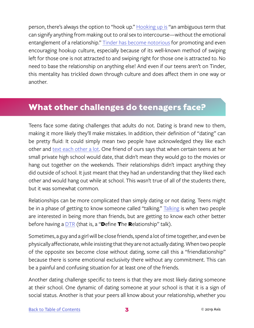<span id="page-4-0"></span>person, there's always the option to "hook up." [Hooking up is](https://www.nytimes.com/2013/07/14/fashion/sex-on-campus-she-can-play-that-game-too.html) "an ambiguous term that can signify anything from making out to oral sex to intercourse—without the emotional entanglement of a relationship." [Tinder has become notorious](https://www.care-net.org/abundant-life-blog/hookup-culture-tinder-and-the-loss-of-intimacy) for promoting and even encouraging hookup culture, especially because of its well-known method of swiping left for those one is not attracted to and swiping right for those one is attracted to. No need to base the relationship on anything else! And even if our teens aren't on Tinder, this mentality has trickled down through culture and does affect them in one way or another.

## **What other challenges do teenagers face?**

Teens face some dating challenges that adults do not. Dating is brand new to them, making it more likely they'll make mistakes. In addition, their definition of "dating" can be pretty fluid: It could simply mean two people have acknowledged they like each other and [text each other a lot.](https://www.focusonthefamily.com/parenting/teens/teen-romance/dating-in-a-digital-world) One friend of ours says that when certain teens at her small private high school would date, that didn't mean they would go to the movies or hang out together on the weekends. Their relationships didn't impact anything they did outside of school. It just meant that they had an understanding that they liked each other and would hang out while at school. This wasn't true of all of the students there, but it was somewhat common.

Relationships can be more complicated than simply dating or not dating. Teens might be in a phase of getting to know someone called "talking." [Talking](https://www.urbandictionary.com/define.php?term=talking) is when two people are interested in being more than friends, but are getting to know each other better before having a **DTR** (that is, a "Define The Relationship" talk).

Sometimes, a guy and a girl will be close friends, spend a lot of time together, and even be physically affectionate, while insisting that they are not actually dating. When two people of the opposite sex become close without dating, some call this a "friendlationship" because there is some emotional exclusivity there without any commitment. This can be a painful and confusing situation for at least one of the friends.

Another dating challenge specific to teens is that they are most likely dating someone at their school. One dynamic of dating someone at your school is that it is a sign of social status. Another is that your peers all know about your relationship, whether you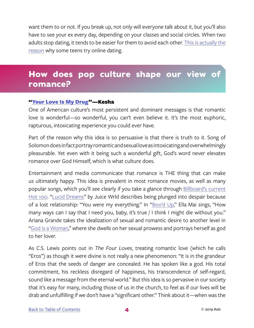<span id="page-5-0"></span>want them to or not. If you break up, not only will everyone talk about it, but you'll also have to see your ex every day, depending on your classes and social circles. When two adults stop dating, it tends to be easier for them to avoid each other. [This is actually the](https://www.teenvogue.com/story/teens-on-tinder) [reason](https://www.teenvogue.com/story/teens-on-tinder) why some teens try online dating.

## **How does pop culture shape our view of romance?**

#### ["Your Love Is My Drug](https://genius.com/Kesha-your-love-is-my-drug-lyrics)"-Kesha

One of American culture's most persistent and dominant messages is that romantic love is wonderful—so wonderful, you can't even believe it. It's the most euphoric, rapturous, intoxicating experience you could ever have.

Part of the reason why this idea is so persuasive is that there is truth to it. Song of Solomon does in fact portray romantic and sexual love as intoxicating and overwhelmingly pleasurable. Yet even with it being such a wonderful gift, God's word never elevates romance over God Himself, which is what culture does.

Entertainment and media communicate that romance is THE thing that can make us ultimately happy. This idea is prevalent in most romance movies, as well as many popular songs, which you'll see clearly if you take a glance through [Billboard's current](https://www.billboard.com/charts/hot-100) [Hot 100](https://www.billboard.com/charts/hot-100). "[Lucid Dreams](https://www.youtube.com/watch?v=_fh64GbFSw4)" by Juice Wrld describes being plunged into despair because of a lost relationship: "You were my everything." In ["Boo'd Up,](https://www.youtube.com/watch?v=6YNZlXfW6Ho)" Ella Mai sings, "How many ways can I say that I need you, baby, it's true / I think I might die without you." Ariana Grande takes the idealization of sexual and romantic desire to another level in ["God Is a Woman](https://www.youtube.com/watch?v=RQTgJRwMdKQ)," where she dwells on her sexual prowess and portrays herself as god to her lover.

As C.S. Lewis points out in *The Four Loves*, treating romantic love (which he calls "Eros") as though it were divine is not really a new phenomenon: "It is in the grandeur of Eros that the seeds of danger are concealed. He has spoken like a god. His total commitment, his reckless disregard of happiness, his transcendence of self-regard, sound like a message from the eternal world." But this idea is so pervasive in our society that it's easy for many, including those of us in the church, to feel as if our lives will be drab and unfulfilling if we don't have a "significant other." Think about it—when was the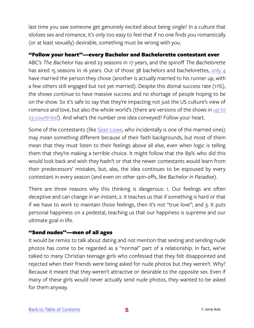last time you saw someone get genuinely excited about being single? In a culture that idolizes sex and romance, it's only too easy to feel that if no one finds you romantically (or at least sexually) desirable, something must be wrong with you.

#### "Follow your heart"—every Bachelor and Bachelorette contestant ever

ABC's *The Bachelor* has aired 23 seasons in 17 years, and the spinoff *The Bachelorette* has aired 15 seasons in 16 years. Out of those 38 bachelors and bachelorettes, [only 4](https://www.iheart.com/content/2018-02-12-bachelor-and-bachelorette-couples-whos-still-together/) have married the person they chose (another is actually married to his runner up, with a few others still engaged but not yet married). Despite this dismal success rate (11%), the shows continue to have massive success and no shortage of people hoping to be on the show. So it's safe to say that they're impacting not just the US culture's view of romance and love, but also the whole world's (there are versions of the shows in [up to](https://www.bustle.com/p/how-many-countries-have-the-bachelor-winter-games-is-putting-some-international-contestants-in-the-american-spotlight-7829614)  [23 countries!](https://www.bustle.com/p/how-many-countries-have-the-bachelor-winter-games-is-putting-some-international-contestants-in-the-american-spotlight-7829614)). And what's the number one idea conveyed? Follow your heart.

Some of the contestants (like [Sean Lowe,](https://en.wikipedia.org/wiki/Sean_Lowe_(television_personality)) who incidentally is one of the married ones) may mean something different because of their faith backgrounds, but most of them mean that they must listen to their feelings above all else, even when logic is telling them that they're making a terrible choice. It might follow that the 89% who did this would look back and wish they hadn't or that the newer contestants would learn from their predecessors' mistakes, but, alas, the idea continues to be espoused by every contestant in every season (and even on other spin-offs, like *Bachelor in Paradise*).

There are three reasons why this thinking is dangerous: 1. Our feelings are often deceptive and can change in an instant; 2. It teaches us that if something is hard or that if we have to work to maintain those feelings, then it's not "true love"; and 3. It puts personal happiness on a pedestal, teaching us that our happiness is supreme and our ultimate goal in life.

#### "Send nudes"—men of all ages

It would be remiss to talk about dating and not mention that sexting and sending nude photos has come to be regarded as a "normal" part of a relationship. In fact, we've talked to many Christian teenage girls who confessed that they felt disappointed and rejected when their friends were being asked for nude photos but they weren't. Why? Because it meant that they weren't attractive or desirable to the opposite sex. Even if many of these girls would never actually send nude photos, they wanted to be asked for them anyway.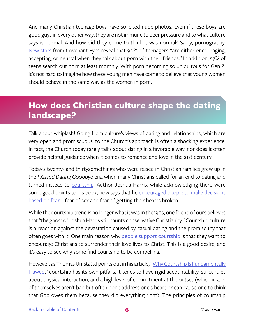<span id="page-7-0"></span>And many Christian teenage boys have solicited nude photos. Even if these boys are good guys in every other way, they are not immune to peer pressure and to what culture says is normal. And how did they come to think it was normal? Sadly, pornography. [New stats](http://www.covenanteyes.com/pornstats/?inf_contact_key=1788ffc7669217920b617c4019702563d5daa33745cfed195cca627260bdacd2) from Covenant Eyes reveal that 90% of teenagers "are either encouraging, accepting, or neutral when they talk about porn with their friends." In addition, 57% of teens search out porn at least monthly. With porn becoming so ubiquitous for Gen Z, it's not hard to imagine how these young men have come to believe that young women should behave in the same way as the women in porn.

## **How does Christian culture shape the dating landscape?**

Talk about whiplash! Going from culture's views of dating and relationships, which are very open and promiscuous, to the Church's approach is often a shocking experience. In fact, the Church today rarely talks about dating in a favorable way, nor does it often provide helpful guidance when it comes to romance and love in the 21st century.

Today's twenty- and thirtysomethings who were raised in Christian families grew up in the *I Kissed Dating Goodbye* era, when many Christians called for an end to dating and turned instead to [courtship.](https://iblp.org/questions/how-courtship-different-dating) Author Joshua Harris, while acknowledging there were some good points to his book, now says that he [encouraged people to make decisions](https://www.youtube.com/watch?v=D2kV4ngi7J4) [based on fear—](https://www.youtube.com/watch?v=D2kV4ngi7J4)fear of sex and fear of getting their hearts broken.

While the courtship trend is no longer what it was in the '90s, one friend of ours believes that "the ghost of Joshua Harris still haunts conservative Christianity." Courtship culture is a reaction against the devastation caused by casual dating and the promiscuity that often goes with it. One main reason why [people support courtship](https://www.essence.com/2014/12/30/why-we-chose-christian-courtship) is that they want to encourage Christians to surrender their love lives to Christ. This is a good desire, and it's easy to see why some find courtship to be compelling.

However, as Thomas Umstattd points out in his article, ["Why Courtship Is Fundamentally](https://www.thomasumstattd.com/2014/08/courtship-fundamentally-flawed/) [Flawed,](https://www.thomasumstattd.com/2014/08/courtship-fundamentally-flawed/)" courtship has its own pitfalls. It tends to have rigid accountability, strict rules about physical interaction, and a high level of commitment at the outset (which in and of themselves aren't bad but often don't address one's heart or can cause one to think that God owes them because they did everything right). The principles of courtship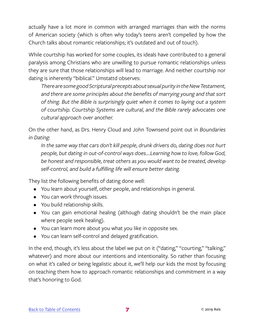actually have a lot more in common with arranged marriages than with the norms of American society (which is often why today's teens aren't compelled by how the Church talks about romantic relationships; it's outdated and out of touch).

While courtship has worked for some couples, its ideals have contributed to a general paralysis among Christians who are unwilling to pursue romantic relationships unless they are sure that those relationships will lead to marriage. And neither courtship nor dating is inherently "biblical." Umstattd observes:

*There are some good Scriptural precepts about sexual purity in the New Testament, and there are some principles about the benefits of marrying young and that sort of thing. But the Bible is surprisingly quiet when it comes to laying out a system of courtship. Courtship Systems are cultural, and the Bible rarely advocates one cultural approach over another.*

On the other hand, as Drs. Henry Cloud and John Townsend point out in *Boundaries in Dating*:

*In the same way that cars don't kill people, drunk drivers do, dating does not hurt people, but dating in out-of-control ways does….Learning how to love, follow God, be honest and responsible, treat others as you would want to be treated, develop self-control, and build a fulfilling life will ensure better dating.*

They list the following benefits of dating done well:

- You learn about yourself, other people, and relationships in general.
- You can work through issues.
- You build relationship skills.
- You can gain emotional healing (although dating shouldn't be the main place where people seek healing).
- You can learn more about you what you like in opposite sex.
- You can learn self-control and delayed gratification.

In the end, though, it's less about the label we put on it ("dating," "courting," "talking," whatever) and more about our intentions and intentionality. So rather than focusing on what it's called or being legalistic about it, we'll help our kids the most by focusing on teaching them how to approach romantic relationships and commitment in a way that's honoring to God.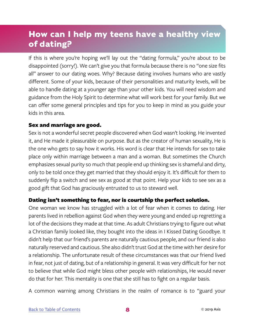## <span id="page-9-0"></span>**How can I help my teens have a healthy view of dating?**

If this is where you're hoping we'll lay out the "dating formula," you're about to be disappointed (sorry!). We can't give you that formula because there is no "one size fits all" answer to our dating woes. Why? Because dating involves humans who are vastly different. Some of your kids, because of their personalities and maturity levels, will be able to handle dating at a younger age than your other kids. You will need wisdom and guidance from the Holy Spirit to determine what will work best for your family. But we can offer some general principles and tips for you to keep in mind as you guide your kids in this area.

#### Sex and marriage are good.

Sex is not a wonderful secret people discovered when God wasn't looking. He invented it, and He made it pleasurable on purpose. But as the creator of human sexuality, He is the one who gets to say how it works. His word is clear that He intends for sex to take place only within marriage between a man and a woman. But sometimes the Church emphasizes sexual purity so much that people end up thinking sex is shameful and dirty, only to be told once they get married that they should enjoy it. It's difficult for them to suddenly flip a switch and see sex as good at that point. Help your kids to see sex as a good gift that God has graciously entrusted to us to steward well.

#### Dating isn't something to fear, nor is courtship the perfect solution.

One woman we know has struggled with a lot of fear when it comes to dating. Her parents lived in rebellion against God when they were young and ended up regretting a lot of the decisions they made at that time. As adult Christians trying to figure out what a Christian family looked like, they bought into the ideas in I Kissed Dating Goodbye. It didn't help that our friend's parents are naturally cautious people, and our friend is also naturally reserved and cautious. She also didn't trust God at the time with her desire for a relationship. The unfortunate result of these circumstances was that our friend lived in fear, not just of dating, but of a relationship in general. It was very difficult for her not to believe that while God might bless other people with relationships, He would never do that for her. This mentality is one that she still has to fight on a regular basis.

A common warning among Christians in the realm of romance is to "guard your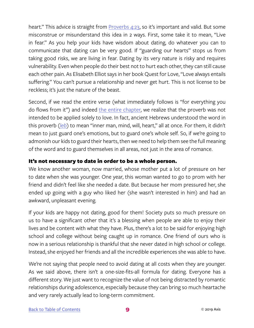heart." This advice is straight from [Proverbs 4:23](https://www.biblegateway.com/passage/?search=Proverbs+4%3A23&version=NIV), so it's important and valid. But some misconstrue or misunderstand this idea in 2 ways. First, some take it to mean, "Live in fear." As you help your kids have wisdom about dating, do whatever you can to communicate that dating can be very good. If "guarding our hearts" stops us from taking good risks, we are living in fear. Dating by its very nature is risky and requires vulnerability. Even when people do their best not to hurt each other, they can still cause each other pain. As Elisabeth Elliot says in her book Quest for Love, "Love always entails suffering." You can't pursue a relationship and never get hurt. This is not license to be reckless; it's just the nature of the beast.

Second, if we read the entire verse (what immediately follows is "for everything you do flows from it") and indeed [the entire chapter,](https://www.biblegateway.com/passage/?search=Proverbs+4&version=NIV) we realize that the proverb was not intended to be applied solely to love. In fact, ancient Hebrews understood the word in this proverb (*[leb](https://biblehub.com/hebrew/3820.htm)*) to mean "inner man, mind, will, heart," all at once. For them, it didn't mean to just guard one's emotions, but to guard one's whole self. So, if we're going to admonish our kids to guard their hearts, then we need to help them see the full meaning of the word and to guard themselves in all areas, not just in the area of romance.

#### It's not necessary to date in order to be a whole person.

We know another woman, now married, whose mother put a lot of pressure on her to date when she was younger. One year, this woman wanted to go to prom with her friend and didn't feel like she needed a date. But because her mom pressured her, she ended up going with a guy who liked her (she wasn't interested in him) and had an awkward, unpleasant evening.

If your kids are happy not dating, good for them! Society puts so much pressure on us to have a significant other that it's a blessing when people are able to enjoy their lives and be content with what they have. Plus, there's a lot to be said for enjoying high school and college without being caught up in romance. One friend of ours who is now in a serious relationship is thankful that she never dated in high school or college. Instead, she enjoyed her friends and all the incredible experiences she was able to have.

We're not saying that people need to avoid dating at all costs when they are younger. As we said above, there isn't a one-size-fits-all formula for dating. Everyone has a different story. We just want to recognize the value of not being distracted by romantic relationships during adolescence, especially because they can bring so much heartache and very rarely actually lead to long-term commitment.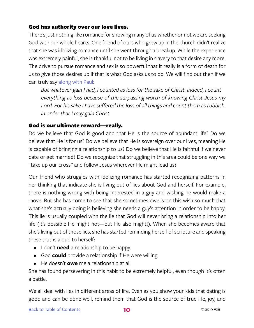#### God has authority over our love lives.

There's just nothing like romance for showing many of us whether or not we are seeking God with our whole hearts. One friend of ours who grew up in the church didn't realize that she was idolizing romance until she went through a breakup. While the experience was extremely painful, she is thankful not to be living in slavery to that desire any more. The drive to pursue romance and sex is so powerful that it really is a form of death for us to give those desires up if that is what God asks us to do. We will find out then if we can truly say [along with Paul:](https://www.biblegateway.com/passage/?search=Philippians+3&version=ESV)

*But whatever gain I had, I counted as loss for the sake of Christ. Indeed, I count everything as loss because of the surpassing worth of knowing Christ Jesus my Lord. For his sake I have suffered the loss of all things and count them as rubbish, in order that I may gain Christ.*

#### God is our ultimate reward—really.

Do we believe that God is good and that He is the source of abundant life? Do we believe that He is for us? Do we believe that He is sovereign over our lives, meaning He is capable of bringing a relationship to us? Do we believe that He is faithful if we never date or get married? Do we recognize that struggling in this area could be one way we "take up our cross" and follow Jesus wherever He might lead us?

Our friend who struggles with idolizing romance has started recognizing patterns in her thinking that indicate she is living out of lies about God and herself. For example, there is nothing wrong with being interested in a guy and wishing he would make a move. But she has come to see that she sometimes dwells on this wish so much that what she's actually doing is believing she needs a guy's attention in order to be happy. This lie is usually coupled with the lie that God will never bring a relationship into her life (it's possible He might not—but He also might!). When she becomes aware that she's living out of those lies, she has started reminding herself of scripture and speaking these truths aloud to herself:

- I don't **need** a relationship to be happy.
- God **could** provide a relationship if He were willing.
- He doesn't **owe** me a relationship at all.

She has found persevering in this habit to be extremely helpful, even though it's often a battle.

We all deal with lies in different areas of life. Even as you show your kids that dating is good and can be done well, remind them that God is the source of true life, joy, and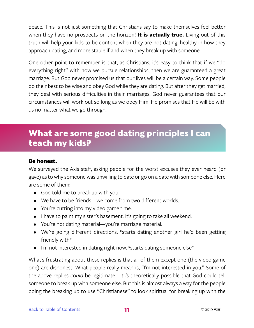<span id="page-12-0"></span>peace. This is not just something that Christians say to make themselves feel better when they have no prospects on the horizon! **It is actually true.** Living out of this truth will help your kids to be content when they are not dating, healthy in how they approach dating, and more stable if and when they break up with someone.

One other point to remember is that, as Christians, it's easy to think that if we "do everything right" with how we pursue relationships, then we are guaranteed a great marriage. But God never promised us that our lives will be a certain way. Some people do their best to be wise and obey God while they are dating. But after they get married, they deal with serious difficulties in their marriages. God never guarantees that our circumstances will work out so long as we obey Him. He promises that He will be with us no matter what we go through.

## **What are some good dating principles I can teach my kids?**

#### Be honest.

We surveyed the Axis staff, asking people for the worst excuses they ever heard (or gave) as to why someone was unwilling to date or go on a date with someone else. Here are some of them:

- God told me to break up with you.
- We have to be friends—we come from two different worlds.
- You're cutting into my video game time.
- I have to paint my sister's basement. It's going to take all weekend.
- You're not dating material—you're marriage material.
- We're going different directions. \*starts dating another girl he'd been getting friendly with\*
- I'm not interested in dating right now. \*starts dating someone else\*

What's frustrating about these replies is that all of them except one (the video game one) are dishonest. What people really mean is, "I'm not interested in you." Some of the above replies *could* be legitimate—it *is* theoretically possible that God could tell someone to break up with someone else. But this is almost always a way for the people doing the breaking up to use "Christianese" to look spiritual for breaking up with the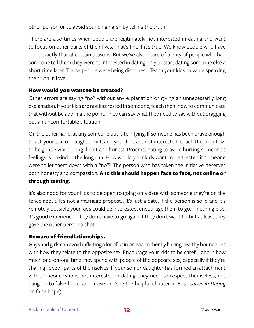other person or to avoid sounding harsh by telling the truth.

There are also times when people are legitimately not interested in dating and want to focus on other parts of their lives. That's fine if it's true. We know people who have done exactly that at certain seasons. But we've also heard of plenty of people who had someone tell them they weren't interested in dating only to start dating someone else a short time later. Those people were being dishonest. Teach your kids to value speaking the truth in love.

#### How would you want to be treated?

Other errors are saying "no" without any explanation or giving an unnecessarily long explanation. If your kids are not interested in someone, teach them how to communicate that without belaboring the point. They can say what they need to say without dragging out an uncomfortable situation.

On the other hand, asking someone out is terrifying. If someone has been brave enough to ask your son or daughter out, and your kids are not interested, coach them on how to be gentle while being direct and honest. Procrastinating to avoid hurting someone's feelings is unkind in the long run. How would your kids want to be treated if someone were to let them down with a "no"? The person who has taken the initiative deserves both honesty and compassion. **And this should happen face to face, not online or through texting.**

It's also good for your kids to be open to going on a date with someone they're on the fence about. It's not a marriage proposal. It's just a date. If the person is solid and it's remotely possible your kids could be interested, encourage them to go. If nothing else, it's good experience. They don't have to go again if they don't want to, but at least they gave the other person a shot.

#### Beware of friendlationships.

Guys and girls can avoid inflicting a lot of pain on each other by having healthy boundaries with how they relate to the opposite sex. Encourage your kids to be careful about how much one-on-one time they spend with people of the opposite sex, especially if they're sharing "deep" parts of themselves. If your son or daughter has formed an attachment with someone who is not interested in dating, they need to respect themselves, not hang on to false hope, and move on (see the helpful chapter in *Boundaries in Dating* on false hope).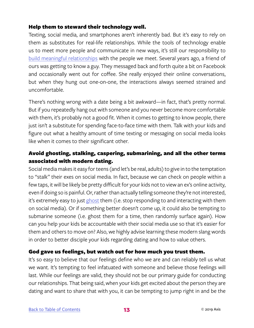#### Help them to steward their technology well.

Texting, social media, and smartphones aren't inherently bad. But it's easy to rely on them as substitutes for real-life relationships. While the tools of technology enable us to meet more people and communicate in new ways, it's still our responsibility to [build meaningful relationships](https://www.youtube.com/watch?v=70HdOIiWfe4) with the people we meet. Several years ago, a friend of ours was getting to know a guy. They messaged back and forth quite a bit on Facebook and occasionally went out for coffee. She really enjoyed their online conversations, but when they hung out one-on-one, the interactions always seemed strained and uncomfortable.

There's nothing wrong with a date being a bit awkward—in fact, that's pretty normal. But if you repeatedly hang out with someone and you never become more comfortable with them, it's probably not a good fit. When it comes to getting to know people, there just isn't a substitute for spending face-to-face time with them. Talk with your kids and figure out what a healthy amount of time texting or messaging on social media looks like when it comes to their significant other.

#### Avoid ghosting, stalking, caspering, submarining, and all the other terms associated with modern dating.

Social media makes it easy for teens (and let's be real, adults) to give in to the temptation to "stalk" their exes on social media. In fact, because we can check on people within a few taps, it will be likely be pretty difficult for your kids not to view an ex's online activity, even if doing so is painful. Or, rather than actually telling someone they're not interested, it's extremely easy to just [ghost](https://www.theguardian.com/lifeandstyle/2018/feb/28/six-new-dating-terms-youve-never-heard-of) them (i.e. stop responding to and interacting with them on social media). Or if something better doesn't come up, it could also be tempting to submarine someone (i.e. ghost them for a time, then randomly surface again). How can you help your kids be accountable with their social media use so that it's easier for them and others to move on? Also, we highly advise learning these modern slang words in order to better disciple your kids regarding dating and how to value others.

#### God gave us feelings, but watch out for how much you trust them.

It's so easy to believe that our feelings define who we are and can reliably tell us what we want. It's tempting to feel infatuated with someone and believe those feelings will last. While our feelings are valid, they should not be our primary guide for conducting our relationships. That being said, when your kids get excited about the person they are dating and want to share that with you, it can be tempting to jump right in and be the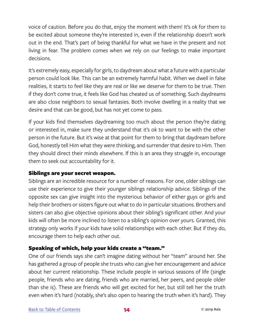voice of caution. Before you do that, enjoy the moment with them! It's ok for them to be excited about someone they're interested in, even if the relationship doesn't work out in the end. That's part of being thankful for what we have in the present and not living in fear. The problem comes when we rely on our feelings to make important decisions.

It's extremely easy, especially for girls, to daydream about what a future with a particular person could look like. This can be an extremely harmful habit. When we dwell in false realities, it starts to feel like they are real or like we deserve for them to be true. Then if they don't come true, it feels like God has cheated us of something. Such daydreams are also close neighbors to sexual fantasies. Both involve dwelling in a reality that we desire and that can be good, but has not yet come to pass.

If your kids find themselves daydreaming too much about the person they're dating or interested in, make sure they understand that it's ok to want to be with the other person in the future. But it's wise at that point for them to bring that daydream before God, honestly tell Him what they were thinking, and surrender that desire to Him. Then they should direct their minds elsewhere. If this is an area they struggle in, encourage them to seek out accountability for it.

#### Siblings are your secret weapon.

Siblings are an incredible resource for a number of reasons. For one, older siblings can use their experience to give their younger siblings relationship advice. Siblings of the opposite sex can give insight into the mysterious behavior of either guys or girls and help their brothers or sisters figure out what to do in particular situations. Brothers and sisters can also give objective opinions about their sibling's significant other. And your kids will often be more inclined to listen to a sibling's opinion over yours. Granted, this strategy only works if your kids have solid relationships with each other. But if they do, encourage them to help each other out.

#### Speaking of which, help your kids create a "team."

One of our friends says she can't imagine dating without her "team" around her. She has gathered a group of people she trusts who can give her encouragement and advice about her current relationship. These include people in various seasons of life (single people, friends who are dating, friends who are married, her peers, and people older than she is). These are friends who will get excited for her, but still tell her the truth even when it's hard (notably, she's also open to hearing the truth when it's hard). They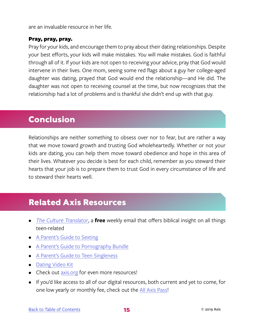<span id="page-16-0"></span>are an invaluable resource in her life.

#### Pray, pray, pray.

Pray for your kids, and encourage them to pray about their dating relationships. Despite your best efforts, your kids will make mistakes. *You* will make mistakes. God is faithful through all of it. If your kids are not open to receiving your advice, pray that God would intervene in their lives. One mom, seeing some red flags about a guy her college-aged daughter was dating, prayed that God would end the relationship—and He did. The daughter was not open to receiving counsel at the time, but now recognizes that the relationship had a lot of problems and is thankful she didn't end up with that guy.

### **Conclusion**

Relationships are neither something to obsess over nor to fear, but are rather a way that we move toward growth and trusting God wholeheartedly. Whether or not your kids are dating, you can help them move toward obedience and hope in this area of their lives. Whatever you decide is best for each child, remember as you steward their hearts that your job is to prepare them to trust God in every circumstance of life and to steward their hearts well.

## **Related Axis Resources**

- *• [The Culture Translator](http://axis.org/ct)*, a **free** weekly email that offers biblical insight on all things teen-related
- [A Parent's Guide to Sexting](https://axis.org/product/membership-product-for-sexting/)
- [A Parent's Guide to Pornography Bundle](https://axis.org/product/the-pornography-bundle/)
- [A Parent's Guide to Teen Singleness](https://axis.org/product/membership-product-for-teen-singleness/)
- Dating Video Kit
- Check out [axis.org](https://axis.org) for even more resources!
- If you'd like access to all of our digital resources, both current and yet to come, for one low yearly or monthly fee, check out the [All Axis Pass](https://axis.org/aap)!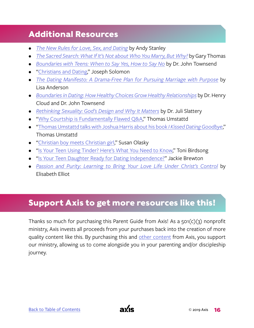## <span id="page-17-0"></span>**Additional Resources**

- *• [The New Rules for Love, Sex, and Dating](https://www.christianbook.com/new-rules-for-love-sex-dating/andy-stanley/9780310342199/pd/342199?product_redirect=1&Ntt=342199&item_code=&Ntk=keywords&event=ESRCP)* by Andy Stanley
- *• [The Sacred Search: What If It's Not about Who You Marry, But Why?](https://www.christianbook.com/sacred-search-what-not-about-marry/gary-thomas/9781434704894/pd/704894)* by Gary Thomas
- *• [Boundaries with Teens: When to Say Yes, How to Say No](https://www.christianbook.com/boundaries-with-teens-when-yes-how/john-townsend/9780310270454/pd/270454?event=ESRCG)* by Dr. John Townsend
- ["Christians and Dating,](https://www.youtube.com/watch?time_continue=121&v=ysCtpNH8yEs)" Joseph Solomon
- *• [The Dating Manifesto: A Drama-Free Plan for Pursuing Marriage with Purpose](https://www.christianbook.com/dating-manifesto-drama-pursuing-marriage-purpose/lisa-anderson/9781434708878/pd/708872?product_redirect=1&Ntt=708872&item_code=&Ntk=keywords&event=ESRCP)* by Lisa Anderson
- *• [Boundaries in Dating: How Healthy Choices Grow Healthy Relationships](https://www.christianbook.com/boundaries-in-dating-henry-cloud/9780310200345/pd/00342?product_redirect=1&Ntt=00342&item_code=WW&Ntk=keywords&event=ESRCP)* by Dr. Henry Cloud and Dr. John Townsend
- *• [Rethinking Sexuality: God's Design and Why It Matters](https://www.christianbook.com/rethinking-sexuality-gods-design-why-matters/juli-slattery/9780735291478/pd/291478?product_redirect=1&Ntt=291478&item_code=&Ntk=keywords&event=ESRCP)* by Dr. Juli Slattery
- ["Why Courtship is Fundamentally Flawed Q&A,](https://www.thomasumstattd.com/2014/08/courtship-fundamentally-flawed-qa/)" Thomas Umstattd
- ["Thomas Umstattd talks with Joshua Harris about his book](https://www.thomasumstattd.com/2017/08/thomas-umstattd-joshua-harris-talk-kissed-dating-goodbye/) *I Kissed Dating Goodbye*," Thomas Umstattd
- ["Christian boy meets Christian girl,](https://world.wng.org/2011/05/christian_boy_meets_christian_girl)" Susan Olasky
- ["Is Your Teen Using Tinder? Here's What You Need to Know,](https://securingtomorrow.mcafee.com/consumer/family-safety/is-your-teen-using-tinder-heres-what-you-need-to-know/)" Toni Birdsong
- ["Is Your Teen Daughter Ready for Dating Independence?"](https://jackiebrewton.com/2018/07/04/is-your-teen-daughter-ready-for-dating-independence/) Jackie Brewton
- *• [Passion and Purity: Learning to Bring Your Love Life Under Christ's Control](https://www.christianbook.com/passion-and-purity-second-edition/elizabeth-elliot/9780800723132/pd/723130?product_redirect=1&Ntt=723130&item_code=&Ntk=keywords&event=ESRCP)* by Elisabeth Elliot

## **Support Axis to get more resources like this!**

Thanks so much for purchasing this Parent Guide from Axis! As a  $501(c)(3)$  nonprofit ministry, Axis invests all proceeds from your purchases back into the creation of more quality content like this. By purchasing this and [other content](https://axis.org) from Axis, you support our ministry, allowing us to come alongside you in your parenting and/or discipleship journey.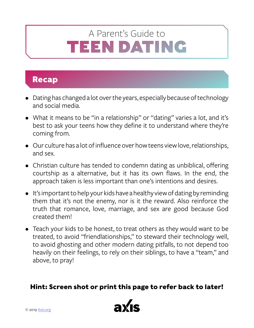## <span id="page-18-0"></span>TEEN DATING A Parent's Guide to

## **Recap**

- Dating has changed a lot over the years, especially because of technology and social media.
- What it means to be "in a relationship" or "dating" varies a lot, and it's best to ask your teens how they define it to understand where they're coming from.
- Our culture has a lot of influence over how teens view love, relationships, and sex.
- Christian culture has tended to condemn dating as unbiblical, offering courtship as a alternative, but it has its own flaws. In the end, the approach taken is less important than one's intentions and desires.
- It's important to help your kids have a healthy view of dating by reminding them that it's not the enemy, nor is it the reward. Also reinforce the truth that romance, love, marriage, and sex are good because God created them!
- Teach your kids to be honest, to treat others as they would want to be treated, to avoid "friendlationships," to steward their technology well, to avoid ghosting and other modern dating pitfalls, to not depend too heavily on their feelings, to rely on their siblings, to have a "team," and above, to pray!

#### **Hint: Screen shot or print this page to refer back to later!**